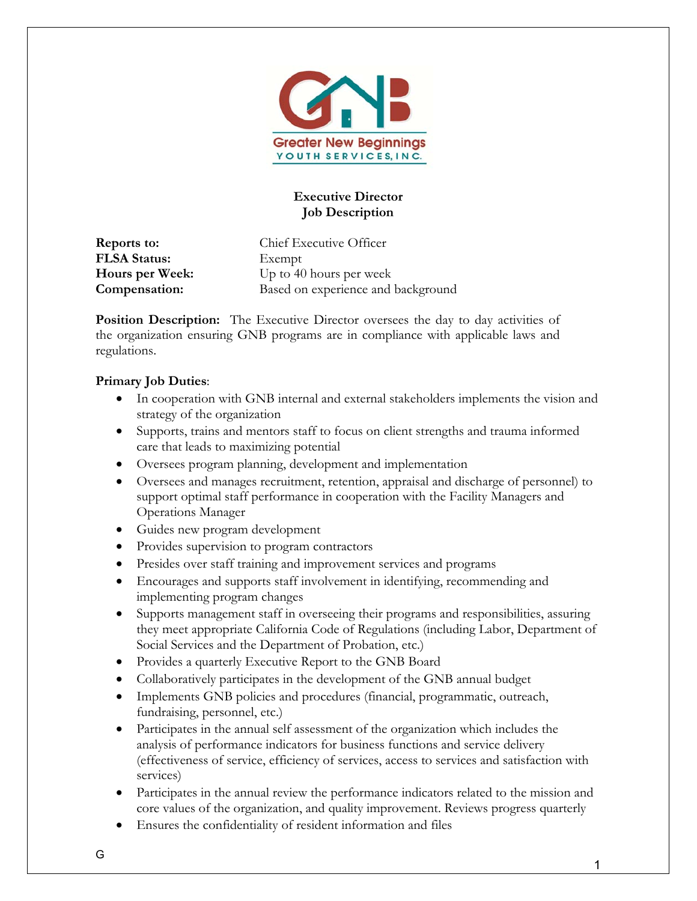

# **Executive Director Job Description**

**FLSA Status:** Exempt

**Reports to:** Chief Executive Officer **Hours per Week:** Up to 40 hours per week **Compensation:** Based on experience and background

**Position Description:** The Executive Director oversees the day to day activities of the organization ensuring GNB programs are in compliance with applicable laws and regulations.

#### **Primary Job Duties**:

- In cooperation with GNB internal and external stakeholders implements the vision and strategy of the organization
- Supports, trains and mentors staff to focus on client strengths and trauma informed care that leads to maximizing potential
- Oversees program planning, development and implementation
- Oversees and manages recruitment, retention, appraisal and discharge of personnel) to support optimal staff performance in cooperation with the Facility Managers and Operations Manager
- Guides new program development
- Provides supervision to program contractors
- Presides over staff training and improvement services and programs
- Encourages and supports staff involvement in identifying, recommending and implementing program changes
- Supports management staff in overseeing their programs and responsibilities, assuring they meet appropriate California Code of Regulations (including Labor, Department of Social Services and the Department of Probation, etc.)
- Provides a quarterly Executive Report to the GNB Board
- Collaboratively participates in the development of the GNB annual budget
- Implements GNB policies and procedures (financial, programmatic, outreach, fundraising, personnel, etc.)
- Participates in the annual self assessment of the organization which includes the analysis of performance indicators for business functions and service delivery (effectiveness of service, efficiency of services, access to services and satisfaction with services)
- Participates in the annual review the performance indicators related to the mission and core values of the organization, and quality improvement. Reviews progress quarterly
- Ensures the confidentiality of resident information and files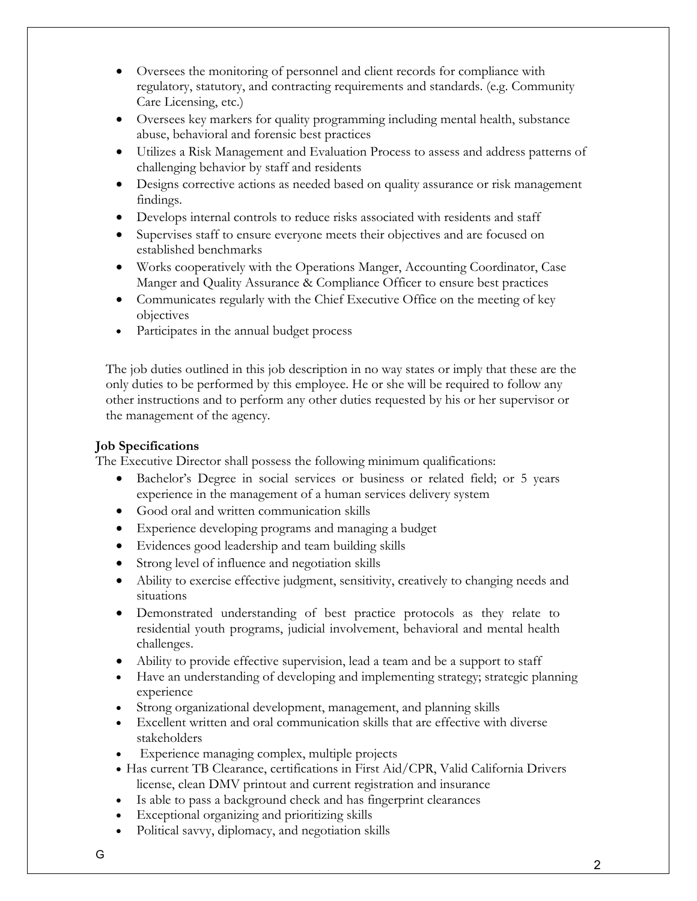- Oversees the monitoring of personnel and client records for compliance with regulatory, statutory, and contracting requirements and standards. (e.g. Community Care Licensing, etc.)
- Oversees key markers for quality programming including mental health, substance abuse, behavioral and forensic best practices
- Utilizes a Risk Management and Evaluation Process to assess and address patterns of challenging behavior by staff and residents
- Designs corrective actions as needed based on quality assurance or risk management findings.
- Develops internal controls to reduce risks associated with residents and staff
- Supervises staff to ensure everyone meets their objectives and are focused on established benchmarks
- Works cooperatively with the Operations Manger, Accounting Coordinator, Case Manger and Quality Assurance & Compliance Officer to ensure best practices
- Communicates regularly with the Chief Executive Office on the meeting of key objectives
- Participates in the annual budget process

The job duties outlined in this job description in no way states or imply that these are the only duties to be performed by this employee. He or she will be required to follow any other instructions and to perform any other duties requested by his or her supervisor or the management of the agency.

#### **Job Specifications**

The Executive Director shall possess the following minimum qualifications:

- Bachelor's Degree in social services or business or related field; or 5 years experience in the management of a human services delivery system
- Good oral and written communication skills
- Experience developing programs and managing a budget
- Evidences good leadership and team building skills
- Strong level of influence and negotiation skills
- Ability to exercise effective judgment, sensitivity, creatively to changing needs and situations
- Demonstrated understanding of best practice protocols as they relate to residential youth programs, judicial involvement, behavioral and mental health challenges.
- Ability to provide effective supervision, lead a team and be a support to staff
- Have an understanding of developing and implementing strategy; strategic planning experience
- Strong organizational development, management, and planning skills
- Excellent written and oral communication skills that are effective with diverse stakeholders
- Experience managing complex, multiple projects
- Has current TB Clearance, certifications in First Aid/CPR, Valid California Drivers license, clean DMV printout and current registration and insurance
- Is able to pass a background check and has fingerprint clearances
- Exceptional organizing and prioritizing skills
- Political savvy, diplomacy, and negotiation skills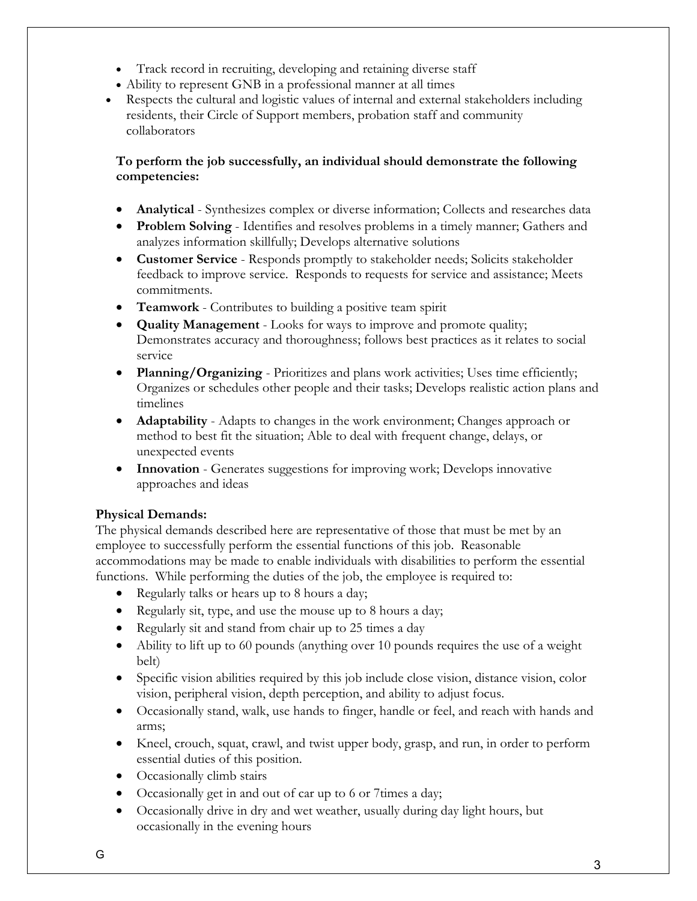- Track record in recruiting, developing and retaining diverse staff
- Ability to represent GNB in a professional manner at all times
- Respects the cultural and logistic values of internal and external stakeholders including residents, their Circle of Support members, probation staff and community collaborators

# **To perform the job successfully, an individual should demonstrate the following competencies:**

- **Analytical** Synthesizes complex or diverse information; Collects and researches data
- **Problem Solving** Identifies and resolves problems in a timely manner; Gathers and analyzes information skillfully; Develops alternative solutions
- **Customer Service** Responds promptly to stakeholder needs; Solicits stakeholder feedback to improve service. Responds to requests for service and assistance; Meets commitments.
- **Teamwork** Contributes to building a positive team spirit
- **Quality Management** Looks for ways to improve and promote quality; Demonstrates accuracy and thoroughness; follows best practices as it relates to social service
- **Planning/Organizing**  Prioritizes and plans work activities; Uses time efficiently; Organizes or schedules other people and their tasks; Develops realistic action plans and timelines
- **Adaptability** Adapts to changes in the work environment; Changes approach or method to best fit the situation; Able to deal with frequent change, delays, or unexpected events
- **Innovation**  Generates suggestions for improving work; Develops innovative approaches and ideas

# **Physical Demands:**

The physical demands described here are representative of those that must be met by an employee to successfully perform the essential functions of this job. Reasonable accommodations may be made to enable individuals with disabilities to perform the essential functions. While performing the duties of the job, the employee is required to:

- Regularly talks or hears up to 8 hours a day;
- Regularly sit, type, and use the mouse up to 8 hours a day;
- Regularly sit and stand from chair up to 25 times a day
- Ability to lift up to 60 pounds (anything over 10 pounds requires the use of a weight belt)
- Specific vision abilities required by this job include close vision, distance vision, color vision, peripheral vision, depth perception, and ability to adjust focus.
- Occasionally stand, walk, use hands to finger, handle or feel, and reach with hands and arms;
- Kneel, crouch, squat, crawl, and twist upper body, grasp, and run, in order to perform essential duties of this position.
- Occasionally climb stairs
- Occasionally get in and out of car up to 6 or 7times a day;
- Occasionally drive in dry and wet weather, usually during day light hours, but occasionally in the evening hours